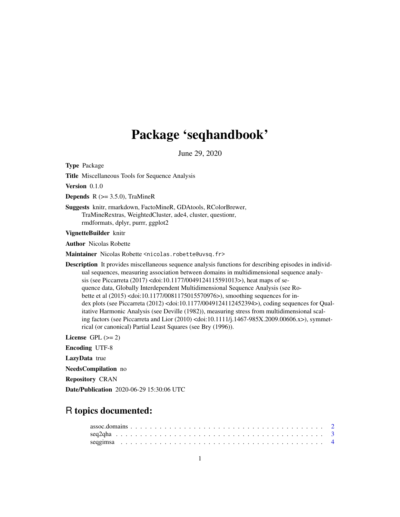# Package 'seqhandbook'

June 29, 2020

<span id="page-0-0"></span>Type Package

Title Miscellaneous Tools for Sequence Analysis

Version 0.1.0

**Depends** R  $(>= 3.5.0)$ , TraMineR

Suggests knitr, rmarkdown, FactoMineR, GDAtools, RColorBrewer, TraMineRextras, WeightedCluster, ade4, cluster, questionr, rmdformats, dplyr, purrr, ggplot2

VignetteBuilder knitr

Author Nicolas Robette

Maintainer Nicolas Robette <nicolas.robette@uvsq.fr>

Description It provides miscellaneous sequence analysis functions for describing episodes in individual sequences, measuring association between domains in multidimensional sequence analysis (see Piccarreta (2017) <doi:10.1177/0049124115591013>), heat maps of sequence data, Globally Interdependent Multidimensional Sequence Analysis (see Robette et al (2015) <doi:10.1177/0081175015570976>), smoothing sequences for index plots (see Piccarreta (2012) <doi:10.1177/0049124112452394>), coding sequences for Qualitative Harmonic Analysis (see Deville (1982)), measuring stress from multidimensional scaling factors (see Piccarreta and Lior (2010) <doi:10.1111/j.1467-985X.2009.00606.x>), symmetrical (or canonical) Partial Least Squares (see Bry (1996)).

License GPL  $(>= 2)$ 

Encoding UTF-8

LazyData true

NeedsCompilation no

Repository CRAN

Date/Publication 2020-06-29 15:30:06 UTC

# R topics documented: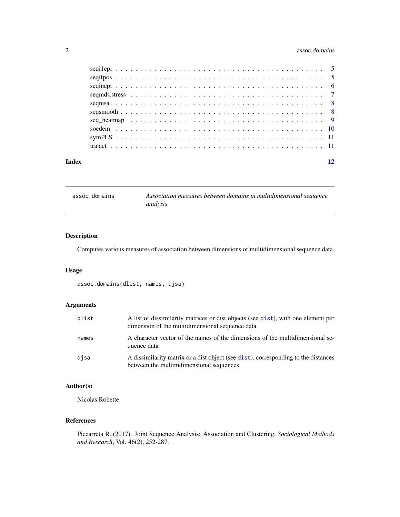# <span id="page-1-0"></span>2 assoc.domains

| Index |  |
|-------|--|
|       |  |
|       |  |
|       |  |
|       |  |
|       |  |
|       |  |
|       |  |
|       |  |
|       |  |
|       |  |

assoc.domains *Association measures between domains in multidimensional sequence analysis*

# Description

Computes various measures of association between dimensions of multidimensional sequence data.

# Usage

assoc.domains(dlist, names, djsa)

# Arguments

| dlist | A list of dissimilarity matrices or dist objects (see dist), with one element per<br>dimension of the multidimensional sequence data |
|-------|--------------------------------------------------------------------------------------------------------------------------------------|
| names | A character vector of the names of the dimensions of the multidimensional se-<br>quence data                                         |
| disa  | A dissimilarity matrix or a dist object (see dist), corresponding to the distances<br>between the multimdimensional sequences        |

# Author(s)

Nicolas Robette

#### References

Piccarreta R. (2017). Joint Sequence Analysis: Association and Clustering, *Sociological Methods and Research*, Vol. 46(2), 252-287.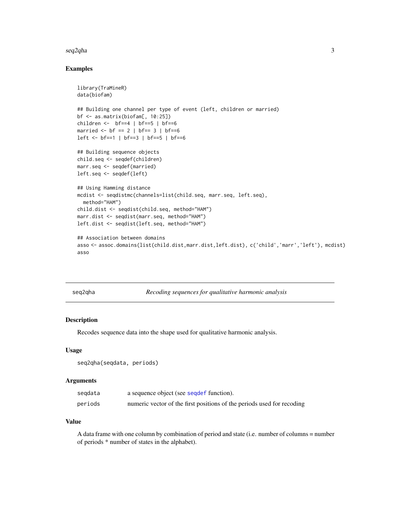#### <span id="page-2-0"></span> $seq2q$ ha  $3$

# Examples

```
library(TraMineR)
data(biofam)
## Building one channel per type of event (left, children or married)
bf <- as.matrix(biofam[, 10:25])
children <- bf==4 | bf==5 | bf==6
married <- bf == 2 | bf== 3 | bf==6
left <- bf==1 | bf==3 | bf==5 | bf==6
## Building sequence objects
child.seq <- seqdef(children)
marr.seq <- seqdef(married)
left.seq <- seqdef(left)
## Using Hamming distance
mcdist <- seqdistmc(channels=list(child.seq, marr.seq, left.seq),
  method="HAM")
child.dist <- seqdist(child.seq, method="HAM")
marr.dist <- seqdist(marr.seq, method="HAM")
left.dist <- seqdist(left.seq, method="HAM")
## Association between domains
asso <- assoc.domains(list(child.dist,marr.dist,left.dist), c('child','marr','left'), mcdist)
asso
```
seq2qha *Recoding sequences for qualitative harmonic analysis*

# Description

Recodes sequence data into the shape used for qualitative harmonic analysis.

#### Usage

```
seq2qha(seqdata, periods)
```
#### Arguments

| segdata | a sequence object (see seque f function).                              |
|---------|------------------------------------------------------------------------|
| periods | numeric vector of the first positions of the periods used for recoding |

#### Value

A data frame with one column by combination of period and state (i.e. number of columns = number of periods \* number of states in the alphabet).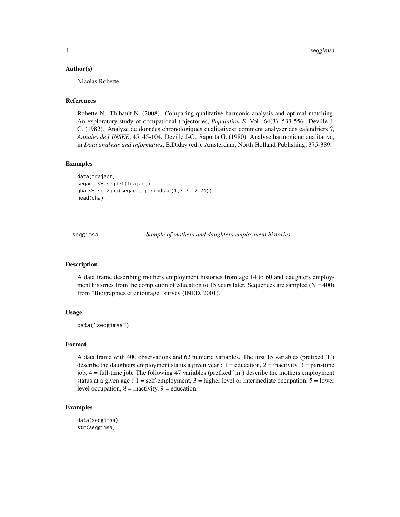#### <span id="page-3-0"></span>Author(s)

Nicolas Robette

# References

Robette N., Thibault N. (2008). Comparing qualitative harmonic analysis and optimal matching. An exploratory study of occupational trajectories, *Population-E*, Vol. 64(3), 533-556. Deville J-C. (1982). Analyse de données chronologiques qualitatives: comment analyser des calendriers ?, *Annales de l'INSEE*, 45, 45-104. Deville J-C., Saporta G. (1980). Analyse harmonique qualitative, in *Data analysis and informatics*, E.Diday (ed.), Amsterdam, North Holland Publishing, 375-389.

#### Examples

```
data(trajact)
seqact <- seqdef(trajact)
qha <- seq2qha(seqact, periods=c(1,3,7,12,24))
head(qha)
```
seqgimsa *Sample of mothers and daughters employment histories*

#### Description

A data frame describing mothers employment histories from age 14 to 60 and daughters employment histories from the completion of education to 15 years later. Sequences are sampled  $(N = 400)$ from "Biographies et entourage" survey (INED, 2001).

#### Usage

```
data("seqgimsa")
```
#### Format

A data frame with 400 observations and 62 numeric variables. The first 15 variables (prefixed 'f') describe the daughters employment status a given year :  $1 =$  education,  $2 =$  inactivity,  $3 =$  part-time job, 4 = full-time job. The following 47 variables (prefixed 'm') describe the mothers employment status at a given age :  $1 = \text{self-employment}$ ,  $3 = \text{higher level}$  or intermediate occupation,  $5 = \text{lower}$ level occupation,  $8 =$  inactivity,  $9 =$  education.

#### Examples

```
data(seqgimsa)
str(seqgimsa)
```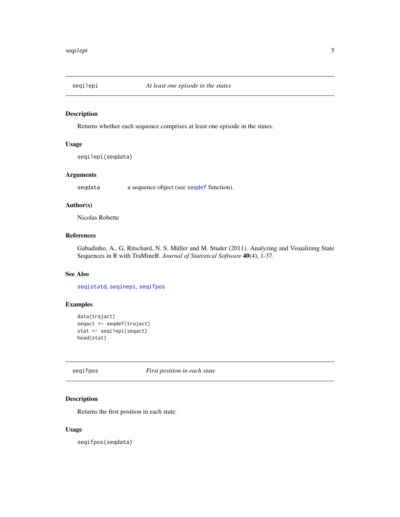<span id="page-4-2"></span><span id="page-4-0"></span>

#### Description

Returns whether each sequence comprises at least one episode in the states.

# Usage

seqi1epi(seqdata)

# Arguments

seqdata a sequence object (see [seqdef](#page-0-0) function).

# Author(s)

Nicolas Robette

#### References

Gabadinho, A., G. Ritschard, N. S. Müller and M. Studer (2011). Analyzing and Visualizing State Sequences in R with TraMineR. *Journal of Statistical Software* 40(4), 1-37.

# See Also

[seqistatd](#page-0-0), [seqinepi](#page-5-1), [seqifpos](#page-4-1)

# Examples

```
data(trajact)
seqact <- seqdef(trajact)
stat <- seqi1epi(seqact)
head(stat)
```
<span id="page-4-1"></span>seqifpos *First position in each state*

### Description

Returns the first position in each state.

#### Usage

seqifpos(seqdata)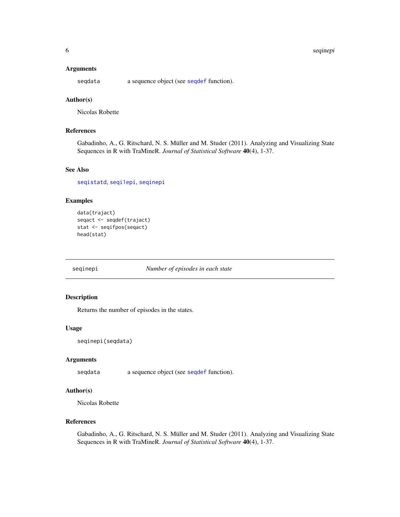#### <span id="page-5-0"></span>6 seqinepi bayan kalendar bir bayan serine bayan serine bir bayan serine bir bayan serine bir bayan serine bir

#### Arguments

seqdata a sequence object (see [seqdef](#page-0-0) function).

# Author(s)

Nicolas Robette

# References

Gabadinho, A., G. Ritschard, N. S. Müller and M. Studer (2011). Analyzing and Visualizing State Sequences in R with TraMineR. *Journal of Statistical Software* 40(4), 1-37.

# See Also

[seqistatd](#page-0-0), [seqi1epi](#page-4-2), [seqinepi](#page-5-1)

# Examples

```
data(trajact)
seqact <- seqdef(trajact)
stat <- seqifpos(seqact)
head(stat)
```
<span id="page-5-1"></span>seqinepi *Number of episodes in each state*

# Description

Returns the number of episodes in the states.

#### Usage

```
seqinepi(seqdata)
```
# Arguments

seqdata a sequence object (see [seqdef](#page-0-0) function).

### Author(s)

Nicolas Robette

#### References

Gabadinho, A., G. Ritschard, N. S. Müller and M. Studer (2011). Analyzing and Visualizing State Sequences in R with TraMineR. *Journal of Statistical Software* 40(4), 1-37.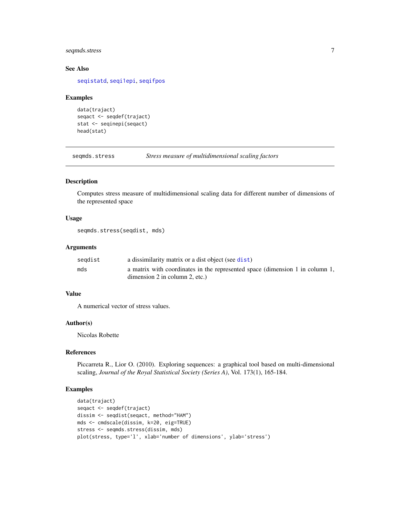# <span id="page-6-0"></span>seqmds.stress 7

# See Also

[seqistatd](#page-0-0), [seqi1epi](#page-4-2), [seqifpos](#page-4-1)

#### Examples

```
data(trajact)
seqact <- seqdef(trajact)
stat <- seqinepi(seqact)
head(stat)
```
seqmds.stress *Stress measure of multidimensional scaling factors*

#### Description

Computes stress measure of multidimensional scaling data for different number of dimensions of the represented space

#### Usage

```
seqmds.stress(seqdist, mds)
```
# Arguments

| segdist | a dissimilarity matrix or a dist object (see dist)                           |
|---------|------------------------------------------------------------------------------|
| mds     | a matrix with coordinates in the represented space (dimension 1 in column 1, |
|         | dimension $2$ in column $2$ , etc.)                                          |

# Value

A numerical vector of stress values.

#### Author(s)

Nicolas Robette

# References

Piccarreta R., Lior O. (2010). Exploring sequences: a graphical tool based on multi-dimensional scaling, *Journal of the Royal Statistical Society (Series A)*, Vol. 173(1), 165-184.

#### Examples

```
data(trajact)
seqact <- seqdef(trajact)
dissim <- seqdist(seqact, method="HAM")
mds <- cmdscale(dissim, k=20, eig=TRUE)
stress <- seqmds.stress(dissim, mds)
plot(stress, type='l', xlab='number of dimensions', ylab='stress')
```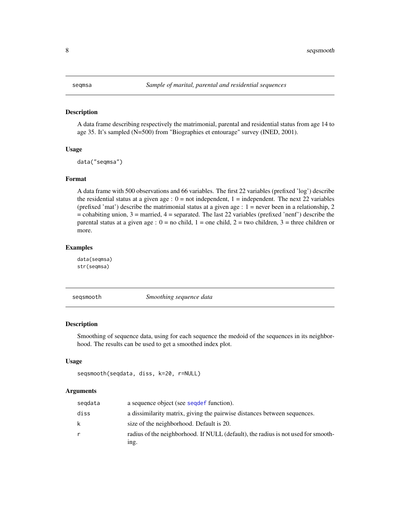#### <span id="page-7-0"></span>Description

A data frame describing respectively the matrimonial, parental and residential status from age 14 to age 35. It's sampled (N=500) from "Biographies et entourage" survey (INED, 2001).

#### Usage

data("seqmsa")

# Format

A data frame with 500 observations and 66 variables. The first 22 variables (prefixed 'log') describe the residential status at a given age :  $0 = not$  independent,  $1 =$  independent. The next 22 variables (prefixed 'mat') describe the matrimonial status at a given age : 1 = never been in a relationship, 2  $=$  cohabiting union, 3  $=$  married, 4  $=$  separated. The last 22 variables (prefixed 'nenf') describe the parental status at a given age :  $0 =$  no child,  $1 =$  one child,  $2 =$  two children,  $3 =$  three children or more.

# Examples

data(seqmsa) str(seqmsa)

seqsmooth *Smoothing sequence data*

#### Description

Smoothing of sequence data, using for each sequence the medoid of the sequences in its neighborhood. The results can be used to get a smoothed index plot.

#### Usage

```
seqsmooth(seqdata, diss, k=20, r=NULL)
```
### Arguments

| segdata | a sequence object (see sequef function).                                                  |
|---------|-------------------------------------------------------------------------------------------|
| diss    | a dissimilarity matrix, giving the pairwise distances between sequences.                  |
| k       | size of the neighborhood. Default is 20.                                                  |
| r       | radius of the neighborhood. If NULL (default), the radius is not used for smooth-<br>ing. |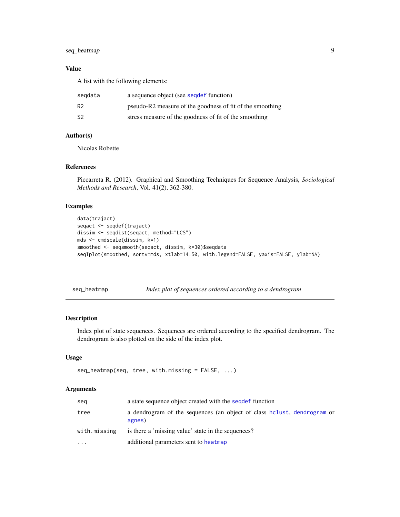# <span id="page-8-0"></span>seq\_heatmap 9

# Value

A list with the following elements:

| segdata | a sequence object (see seque f function)                  |
|---------|-----------------------------------------------------------|
| R2      | pseudo-R2 measure of the goodness of fit of the smoothing |
| S2      | stress measure of the goodness of fit of the smoothing    |

# Author(s)

Nicolas Robette

#### References

Piccarreta R. (2012). Graphical and Smoothing Techniques for Sequence Analysis, *Sociological Methods and Research*, Vol. 41(2), 362-380.

#### Examples

```
data(trajact)
seqact <- seqdef(trajact)
dissim <- seqdist(seqact, method="LCS")
mds <- cmdscale(dissim, k=1)
smoothed <- seqsmooth(seqact, dissim, k=30)$seqdata
seqIplot(smoothed, sortv=mds, xtlab=14:50, with.legend=FALSE, yaxis=FALSE, ylab=NA)
```
seq\_heatmap *Index plot of sequences ordered according to a dendrogram*

# **Description**

Index plot of state sequences. Sequences are ordered according to the specified dendrogram. The dendrogram is also plotted on the side of the index plot.

#### Usage

```
seq_heatmap(seq, tree, with.missing = FALSE, ...)
```
#### Arguments

| seg          | a state sequence object created with the segdef function                          |
|--------------|-----------------------------------------------------------------------------------|
| tree         | a dendrogram of the sequences (an object of class holust, dendrogram or<br>agnes) |
| with.missing | is there a 'missing value' state in the sequences?                                |
| $\ddotsc$    | additional parameters sent to heatmap                                             |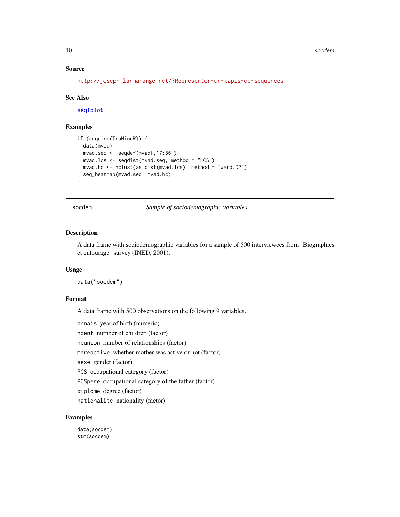#### <span id="page-9-0"></span>10 socdem solution of the state of the state of the state of the state of the state of the state of the state of the state of the state of the state of the state of the state of the state of the state of the state of the s

# Source

```
http://joseph.larmarange.net/?Representer-un-tapis-de-sequences
```
#### See Also

[seqIplot](#page-0-0)

#### Examples

```
if (require(TraMineR)) {
 data(mvad)
 mvad.seq <- seqdef(mvad[,17:86])
 mvad.lcs <- seqdist(mvad.seq, method = "LCS")
 mvad.hc <- hclust(as.dist(mvad.lcs), method = "ward.D2")
 seq_heatmap(mvad.seq, mvad.hc)
}
```
socdem *Sample of sociodemographic variables*

#### **Description**

A data frame with sociodemographic variables for a sample of 500 interviewees from "Biographies et entourage" survey (INED, 2001).

# Usage

```
data("socdem")
```
# Format

A data frame with 500 observations on the following 9 variables.

annais year of birth (numeric)

nbenf number of children (factor)

nbunion number of relationships (factor)

mereactive whether mother was active or not (factor)

sexe gender (factor)

PCS occupational category (factor)

PCSpere occupational category of the father (factor)

diplome degree (factor)

nationalite nationality (factor)

# Examples

data(socdem) str(socdem)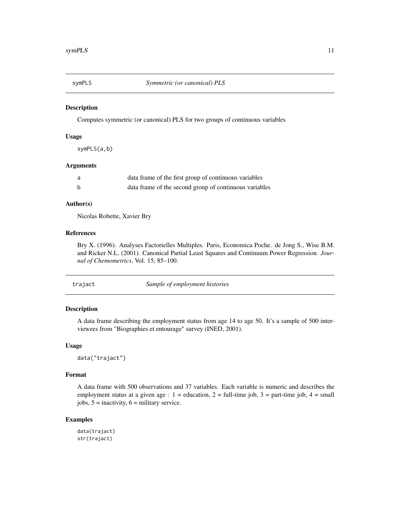<span id="page-10-0"></span>

# Description

Computes symmetric (or canonical) PLS for two groups of continuous variables

# Usage

symPLS(a,b)

# Arguments

| - a | data frame of the first group of continuous variables  |
|-----|--------------------------------------------------------|
|     | data frame of the second group of continuous variables |

# Author(s)

Nicolas Robette, Xavier Bry

# References

Bry X. (1996). Analyses Factorielles Multiples. Paris, Economica Poche. de Jong S., Wise B.M. and Ricker N.L. (2001). Canonical Partial Least Squares and Continuum Power Regression. *Journal of Chemometrics*, Vol. 15, 85–100.

| Sample of employment histories<br>trajact |  |
|-------------------------------------------|--|
|-------------------------------------------|--|

# Description

A data frame describing the employment status from age 14 to age 50. It's a sample of 500 interviewees from "Biographies et entourage" survey (INED, 2001).

#### Usage

data("trajact")

### Format

A data frame with 500 observations and 37 variables. Each variable is numeric and describes the employment status at a given age :  $1 =$  education,  $2 =$  full-time job,  $3 =$  part-time job,  $4 =$  small jobs,  $5 =$  inactivity,  $6 =$  military service.

# Examples

data(trajact) str(trajact)